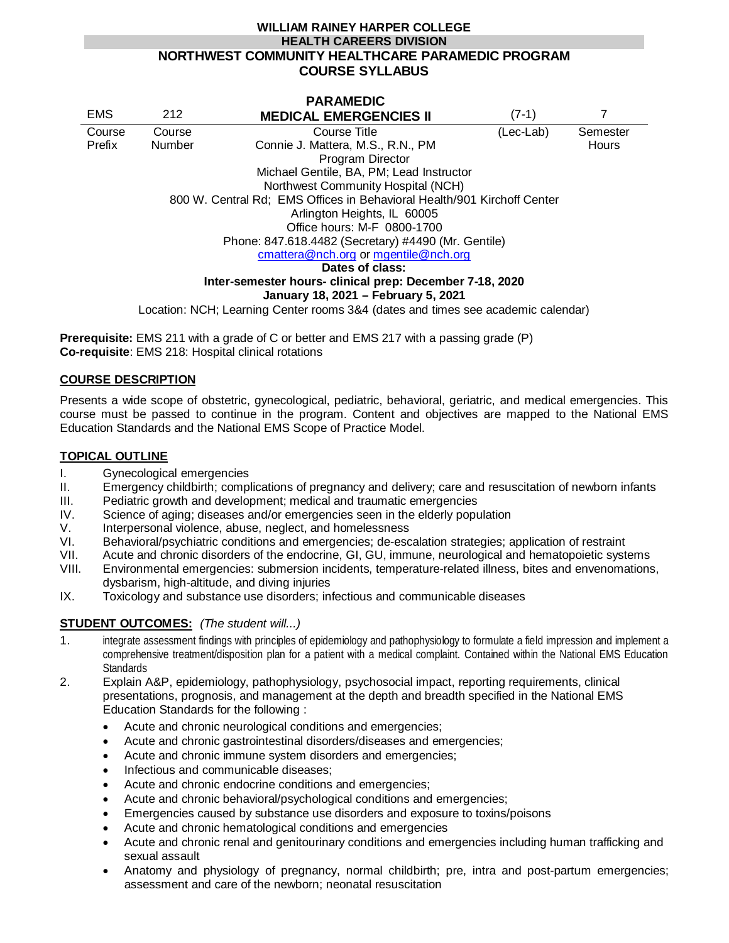#### **WILLIAM RAINEY HARPER COLLEGE HEALTH CAREERS DIVISION NORTHWEST COMMUNITY HEALTHCARE PARAMEDIC PROGRAM COURSE SYLLABUS**

| <b>PARAMEDIC</b>                                                                                                                                                                                                                   |               |                                   |           |          |                                                          |  |  |  |  |
|------------------------------------------------------------------------------------------------------------------------------------------------------------------------------------------------------------------------------------|---------------|-----------------------------------|-----------|----------|----------------------------------------------------------|--|--|--|--|
| <b>EMS</b>                                                                                                                                                                                                                         | 212           | <b>MEDICAL EMERGENCIES II</b>     | $(7-1)$   |          |                                                          |  |  |  |  |
| Course                                                                                                                                                                                                                             | Course        | Course Title                      | (Lec-Lab) | Semester |                                                          |  |  |  |  |
| Prefix                                                                                                                                                                                                                             | <b>Number</b> | Connie J. Mattera, M.S., R.N., PM |           | Hours    |                                                          |  |  |  |  |
|                                                                                                                                                                                                                                    |               | Program Director                  |           |          |                                                          |  |  |  |  |
| Michael Gentile, BA, PM; Lead Instructor                                                                                                                                                                                           |               |                                   |           |          |                                                          |  |  |  |  |
| Northwest Community Hospital (NCH)<br>800 W. Central Rd; EMS Offices in Behavioral Health/901 Kirchoff Center<br>Arlington Heights, IL 60005<br>Office hours: M-F 0800-1700<br>Phone: 847.618.4482 (Secretary) #4490 (Mr. Gentile) |               |                                   |           |          |                                                          |  |  |  |  |
|                                                                                                                                                                                                                                    |               |                                   |           |          | cmattera@nch.org or mgentile@nch.org                     |  |  |  |  |
|                                                                                                                                                                                                                                    |               |                                   |           |          | Dates of class:                                          |  |  |  |  |
|                                                                                                                                                                                                                                    |               |                                   |           |          | Inter-semester hours- clinical prep: December 7-18, 2020 |  |  |  |  |
|                                                                                                                                                                                                                                    |               |                                   |           |          | January 18, 2021 - February 5, 2021                      |  |  |  |  |
| Location: NCH; Learning Center rooms 3&4 (dates and times see academic calendar)                                                                                                                                                   |               |                                   |           |          |                                                          |  |  |  |  |

**Prerequisite:** EMS 211 with a grade of C or better and EMS 217 with a passing grade (P) **Co-requisite**: EMS 218: Hospital clinical rotations

## **COURSE DESCRIPTION**

Presents a wide scope of obstetric, gynecological, pediatric, behavioral, geriatric, and medical emergencies. This course must be passed to continue in the program. Content and objectives are mapped to the National EMS Education Standards and the National EMS Scope of Practice Model.

#### **TOPICAL OUTLINE**

- I. Gynecological emergencies
- II. Emergency childbirth; complications of pregnancy and delivery; care and resuscitation of newborn infants
- III. Pediatric growth and development; medical and traumatic emergencies
- IV. Science of aging; diseases and/or emergencies seen in the elderly population
- V. Interpersonal violence, abuse, neglect, and homelessness
- VI. Behavioral/psychiatric conditions and emergencies; de-escalation strategies; application of restraint
- VII. Acute and chronic disorders of the endocrine, GI, GU, immune, neurological and hematopoietic systems
- VIII. Environmental emergencies: submersion incidents, temperature-related illness, bites and envenomations, dysbarism, high-altitude, and diving injuries
- IX. Toxicology and substance use disorders; infectious and communicable diseases

#### **STUDENT OUTCOMES:** *(The student will...)*

- 1. integrate assessment findings with principles of epidemiology and pathophysiology to formulate a field impression and implement a comprehensive treatment/disposition plan for a patient with a medical complaint. Contained within the National EMS Education **Standards**
- 2. Explain A&P, epidemiology, pathophysiology, psychosocial impact, reporting requirements, clinical presentations, prognosis, and management at the depth and breadth specified in the National EMS Education Standards for the following :
	- Acute and chronic neurological conditions and emergencies;
	- Acute and chronic gastrointestinal disorders/diseases and emergencies;
	- Acute and chronic immune system disorders and emergencies;
	- Infectious and communicable diseases;
	- Acute and chronic endocrine conditions and emergencies;
	- Acute and chronic behavioral/psychological conditions and emergencies;
	- Emergencies caused by substance use disorders and exposure to toxins/poisons
	- Acute and chronic hematological conditions and emergencies
	- Acute and chronic renal and genitourinary conditions and emergencies including human trafficking and sexual assault
	- Anatomy and physiology of pregnancy, normal childbirth; pre, intra and post-partum emergencies; assessment and care of the newborn; neonatal resuscitation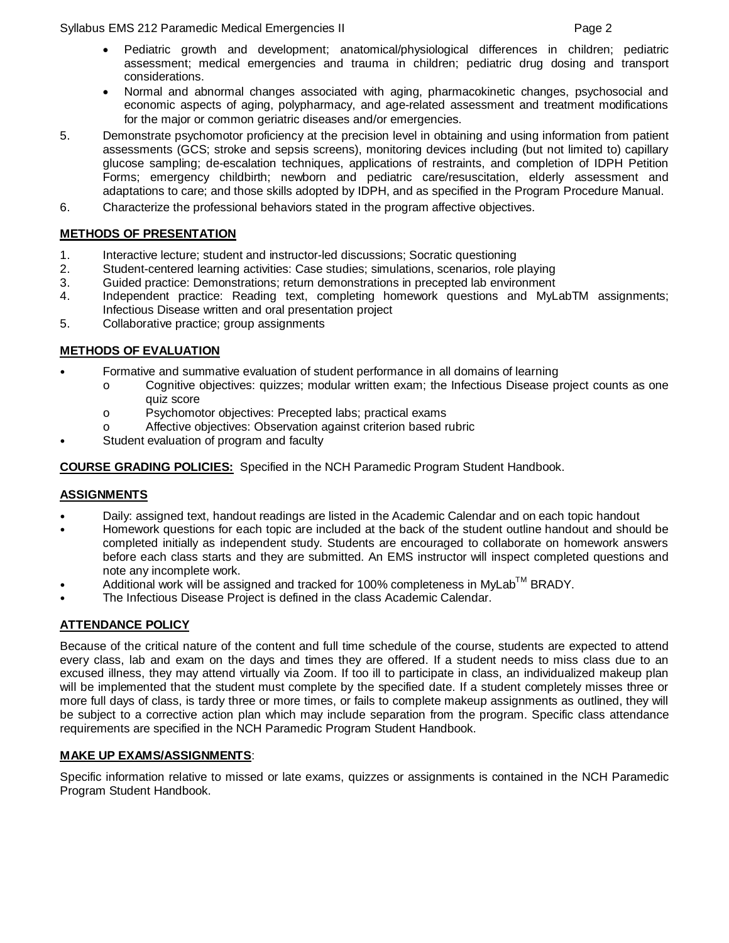Syllabus EMS 212 Paramedic Medical Emergencies II Page 2

- Pediatric growth and development; anatomical/physiological differences in children; pediatric assessment; medical emergencies and trauma in children; pediatric drug dosing and transport considerations.
- Normal and abnormal changes associated with aging, pharmacokinetic changes, psychosocial and economic aspects of aging, polypharmacy, and age-related assessment and treatment modifications for the major or common geriatric diseases and/or emergencies.
- 5. Demonstrate psychomotor proficiency at the precision level in obtaining and using information from patient assessments (GCS; stroke and sepsis screens), monitoring devices including (but not limited to) capillary glucose sampling; de-escalation techniques, applications of restraints, and completion of IDPH Petition Forms; emergency childbirth; newborn and pediatric care/resuscitation, elderly assessment and adaptations to care; and those skills adopted by IDPH, and as specified in the Program Procedure Manual.
- 6. Characterize the professional behaviors stated in the program affective objectives.

## **METHODS OF PRESENTATION**

- 1. Interactive lecture; student and instructor-led discussions; Socratic questioning
- 2. Student-centered learning activities: Case studies; simulations, scenarios, role playing
- 3. Guided practice: Demonstrations; return demonstrations in precepted lab environment
- 4. Independent practice: Reading text, completing homework questions and MyLabTM assignments; Infectious Disease written and oral presentation project
- 5. Collaborative practice; group assignments

#### **METHODS OF EVALUATION**

- Formative and summative evaluation of student performance in all domains of learning
	- o Cognitive objectives: quizzes; modular written exam; the Infectious Disease project counts as one quiz score
	- o Psychomotor objectives: Precepted labs; practical exams
	- o Affective objectives: Observation against criterion based rubric
- Student evaluation of program and faculty

**COURSE GRADING POLICIES:** Specified in the NCH Paramedic Program Student Handbook.

#### **ASSIGNMENTS**

- Daily: assigned text, handout readings are listed in the Academic Calendar and on each topic handout
- Homework questions for each topic are included at the back of the student outline handout and should be completed initially as independent study. Students are encouraged to collaborate on homework answers before each class starts and they are submitted. An EMS instructor will inspect completed questions and note any incomplete work.
- Additional work will be assigned and tracked for 100% completeness in MyLab™ BRADY.
- The Infectious Disease Project is defined in the class Academic Calendar.

# **ATTENDANCE POLICY**

Because of the critical nature of the content and full time schedule of the course, students are expected to attend every class, lab and exam on the days and times they are offered. If a student needs to miss class due to an excused illness, they may attend virtually via Zoom. If too ill to participate in class, an individualized makeup plan will be implemented that the student must complete by the specified date. If a student completely misses three or more full days of class, is tardy three or more times, or fails to complete makeup assignments as outlined, they will be subject to a corrective action plan which may include separation from the program. Specific class attendance requirements are specified in the NCH Paramedic Program Student Handbook.

#### **MAKE UP EXAMS/ASSIGNMENTS**:

Specific information relative to missed or late exams, quizzes or assignments is contained in the NCH Paramedic Program Student Handbook.